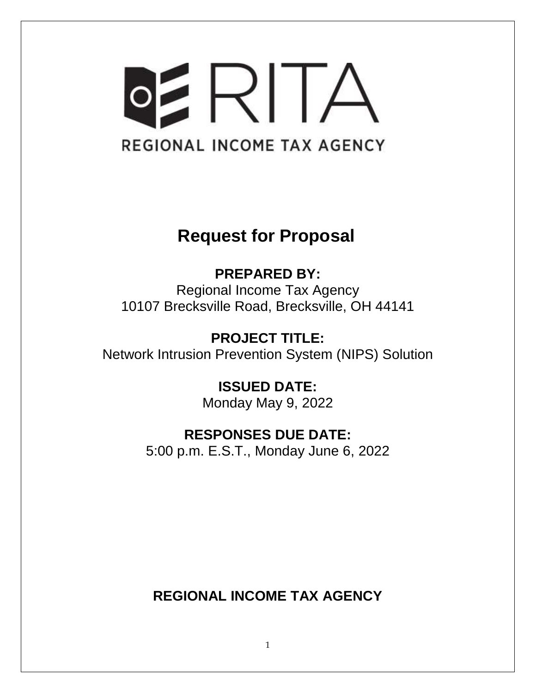# OERITA REGIONAL INCOME TAX AGENCY

# **Request for Proposal**

**PREPARED BY:** Regional Income Tax Agency 10107 Brecksville Road, Brecksville, OH 44141

**PROJECT TITLE:** Network Intrusion Prevention System (NIPS) Solution

> **ISSUED DATE:** Monday May 9, 2022

# **RESPONSES DUE DATE:**

5:00 p.m. E.S.T., Monday June 6, 2022

**REGIONAL INCOME TAX AGENCY**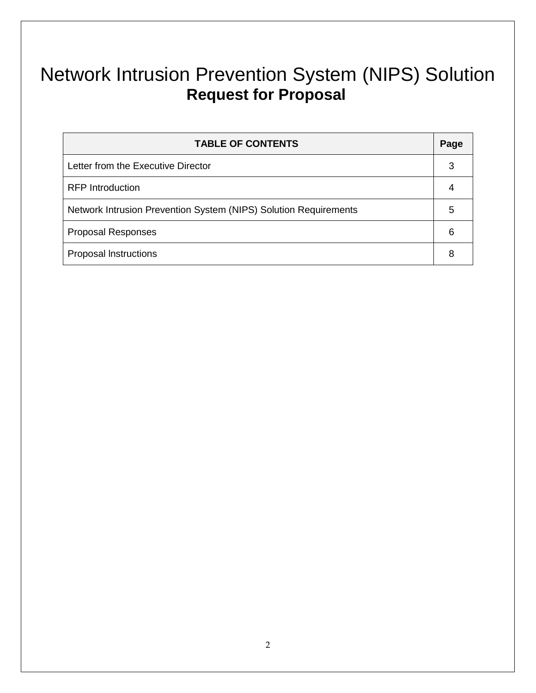# Network Intrusion Prevention System (NIPS) Solution **Request for Proposal**

| <b>TABLE OF CONTENTS</b>                                         | Page |
|------------------------------------------------------------------|------|
| Letter from the Executive Director                               | 3    |
| <b>RFP</b> Introduction                                          |      |
| Network Intrusion Prevention System (NIPS) Solution Requirements | 5    |
| <b>Proposal Responses</b>                                        | 6    |
| <b>Proposal Instructions</b>                                     |      |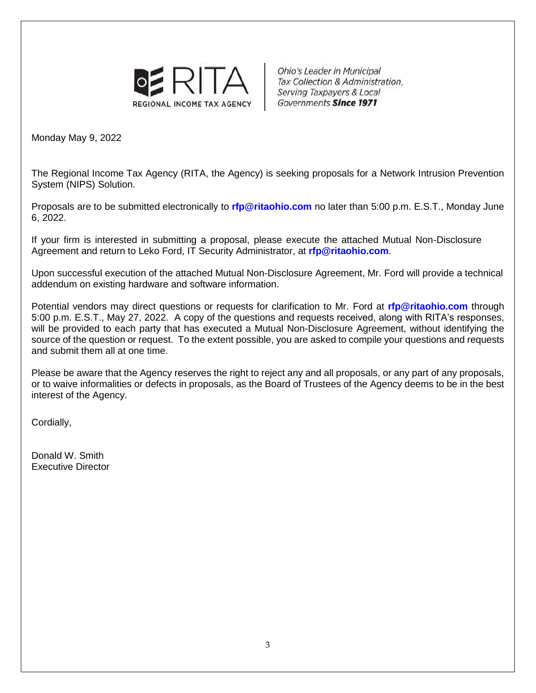

**Ohio's Leader in Municipal** Tax Collection & Administration, Serving Taxpayers & Local Governments Since 1971

Monday May 9, 2022

The Regional Income Tax Agency (RITA, the Agency) is seeking proposals for a Network Intrusion Prevention System (NIPS) Solution.

Proposals are to be submitted electronically to **[rfp@ritaohio.com](mailto:rfp@ritaohio.com)** no later than 5:00 p.m. E.S.T., Monday June 6, 2022.

If your firm is interested in submitting a proposal, please execute the attached Mutual Non-Disclosure Agreement and return to Leko Ford, IT Security Administrator, at **[rfp@ritaohio.com](mailto:rfp@ritaohio.com)**.

Upon successful execution of the attached Mutual Non-Disclosure Agreement, Mr. Ford will provide a technical addendum on existing hardware and software information.

Potential vendors may direct questions or requests for clarification to Mr. Ford at **[rfp@ritaohio.com](mailto:rfp@ritaohio.com)** through 5:00 p.m. E.S.T., May 27, 2022. A copy of the questions and requests received, along with RITA's responses, will be provided to each party that has executed a Mutual Non-Disclosure Agreement, without identifying the source of the question or request. To the extent possible, you are asked to compile your questions and requests and submit them all at one time.

Please be aware that the Agency reserves the right to reject any and all proposals, or any part of any proposals, or to waive informalities or defects in proposals, as the Board of Trustees of the Agency deems to be in the best interest of the Agency.

Cordially,

Donald W. Smith Executive Director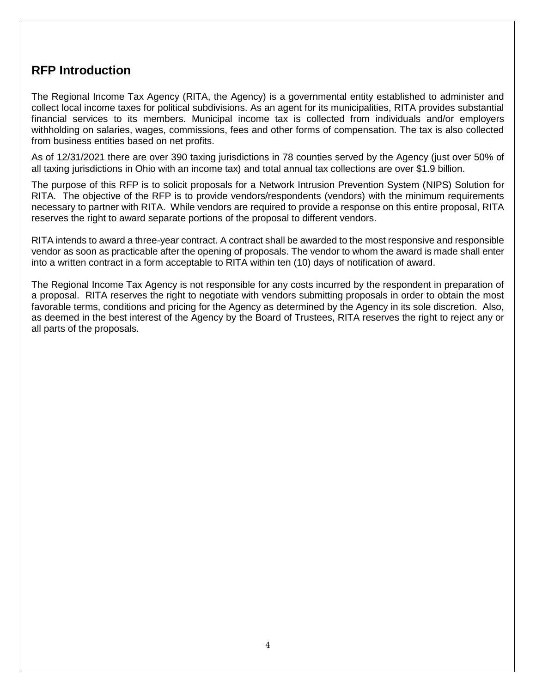### **RFP Introduction**

The Regional Income Tax Agency (RITA, the Agency) is a governmental entity established to administer and collect local income taxes for political subdivisions. As an agent for its municipalities, RITA provides substantial financial services to its members. Municipal income tax is collected from individuals and/or employers withholding on salaries, wages, commissions, fees and other forms of compensation. The tax is also collected from business entities based on net profits.

As of 12/31/2021 there are over 390 taxing jurisdictions in 78 counties served by the Agency (just over 50% of all taxing jurisdictions in Ohio with an income tax) and total annual tax collections are over \$1.9 billion.

The purpose of this RFP is to solicit proposals for a Network Intrusion Prevention System (NIPS) Solution for RITA. The objective of the RFP is to provide vendors/respondents (vendors) with the minimum requirements necessary to partner with RITA. While vendors are required to provide a response on this entire proposal, RITA reserves the right to award separate portions of the proposal to different vendors.

RITA intends to award a three-year contract. A contract shall be awarded to the most responsive and responsible vendor as soon as practicable after the opening of proposals. The vendor to whom the award is made shall enter into a written contract in a form acceptable to RITA within ten (10) days of notification of award.

The Regional Income Tax Agency is not responsible for any costs incurred by the respondent in preparation of a proposal. RITA reserves the right to negotiate with vendors submitting proposals in order to obtain the most favorable terms, conditions and pricing for the Agency as determined by the Agency in its sole discretion. Also, as deemed in the best interest of the Agency by the Board of Trustees, RITA reserves the right to reject any or all parts of the proposals.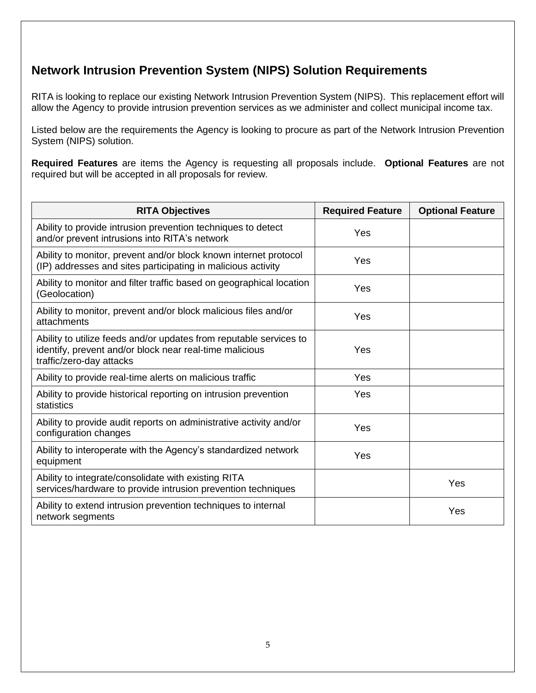## **Network Intrusion Prevention System (NIPS) Solution Requirements**

RITA is looking to replace our existing Network Intrusion Prevention System (NIPS). This replacement effort will allow the Agency to provide intrusion prevention services as we administer and collect municipal income tax.

Listed below are the requirements the Agency is looking to procure as part of the Network Intrusion Prevention System (NIPS) solution.

**Required Features** are items the Agency is requesting all proposals include. **Optional Features** are not required but will be accepted in all proposals for review.

| <b>RITA Objectives</b>                                                                                                                                    | <b>Required Feature</b> | <b>Optional Feature</b> |
|-----------------------------------------------------------------------------------------------------------------------------------------------------------|-------------------------|-------------------------|
| Ability to provide intrusion prevention techniques to detect<br>and/or prevent intrusions into RITA's network                                             | Yes                     |                         |
| Ability to monitor, prevent and/or block known internet protocol<br>(IP) addresses and sites participating in malicious activity                          | Yes                     |                         |
| Ability to monitor and filter traffic based on geographical location<br>(Geolocation)                                                                     | Yes                     |                         |
| Ability to monitor, prevent and/or block malicious files and/or<br>attachments                                                                            | Yes                     |                         |
| Ability to utilize feeds and/or updates from reputable services to<br>identify, prevent and/or block near real-time malicious<br>traffic/zero-day attacks | Yes                     |                         |
| Ability to provide real-time alerts on malicious traffic                                                                                                  | Yes                     |                         |
| Ability to provide historical reporting on intrusion prevention<br>statistics                                                                             | Yes                     |                         |
| Ability to provide audit reports on administrative activity and/or<br>configuration changes                                                               | Yes                     |                         |
| Ability to interoperate with the Agency's standardized network<br>equipment                                                                               | Yes                     |                         |
| Ability to integrate/consolidate with existing RITA<br>services/hardware to provide intrusion prevention techniques                                       |                         | Yes                     |
| Ability to extend intrusion prevention techniques to internal<br>network segments                                                                         |                         | Yes                     |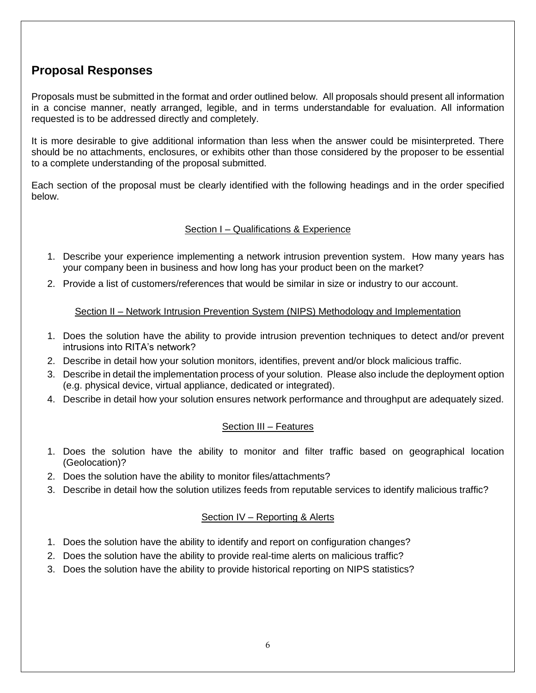## **Proposal Responses**

Proposals must be submitted in the format and order outlined below. All proposals should present all information in a concise manner, neatly arranged, legible, and in terms understandable for evaluation. All information requested is to be addressed directly and completely.

It is more desirable to give additional information than less when the answer could be misinterpreted. There should be no attachments, enclosures, or exhibits other than those considered by the proposer to be essential to a complete understanding of the proposal submitted.

Each section of the proposal must be clearly identified with the following headings and in the order specified below.

#### Section I – Qualifications & Experience

- 1. Describe your experience implementing a network intrusion prevention system. How many years has your company been in business and how long has your product been on the market?
- 2. Provide a list of customers/references that would be similar in size or industry to our account.

#### Section II – Network Intrusion Prevention System (NIPS) Methodology and Implementation

- 1. Does the solution have the ability to provide intrusion prevention techniques to detect and/or prevent intrusions into RITA's network?
- 2. Describe in detail how your solution monitors, identifies, prevent and/or block malicious traffic.
- 3. Describe in detail the implementation process of your solution. Please also include the deployment option (e.g. physical device, virtual appliance, dedicated or integrated).
- 4. Describe in detail how your solution ensures network performance and throughput are adequately sized.

#### Section III – Features

- 1. Does the solution have the ability to monitor and filter traffic based on geographical location (Geolocation)?
- 2. Does the solution have the ability to monitor files/attachments?
- 3. Describe in detail how the solution utilizes feeds from reputable services to identify malicious traffic?

#### Section IV – Reporting & Alerts

- 1. Does the solution have the ability to identify and report on configuration changes?
- 2. Does the solution have the ability to provide real-time alerts on malicious traffic?
- 3. Does the solution have the ability to provide historical reporting on NIPS statistics?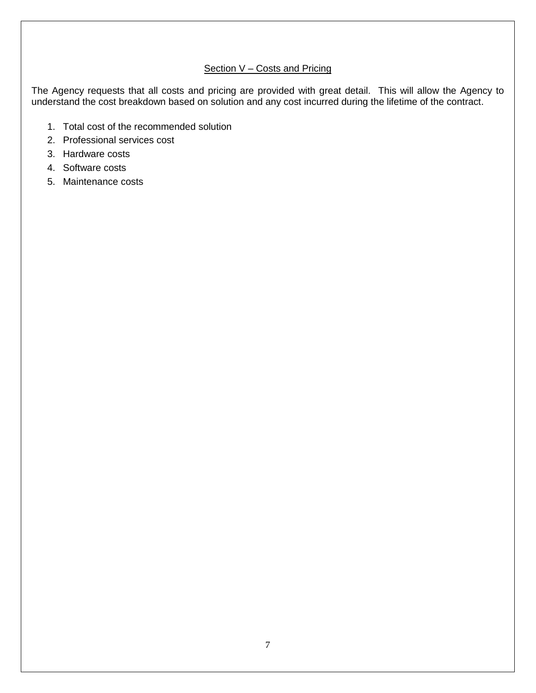#### Section V - Costs and Pricing

The Agency requests that all costs and pricing are provided with great detail. This will allow the Agency to understand the cost breakdown based on solution and any cost incurred during the lifetime of the contract.

- 1. Total cost of the recommended solution
- 2. Professional services cost
- 3. Hardware costs
- 4. Software costs
- 5. Maintenance costs